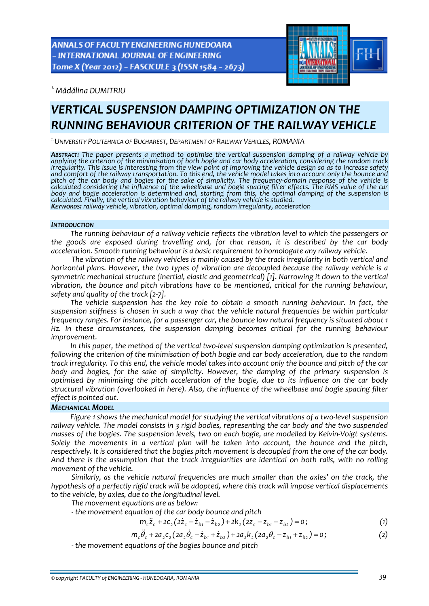ANNALS OF FACULTY ENGINEERING HUNEDOARA - INTERNATIONAL JOURNAL OF ENGINEERING Tome X (Year 2012) - FASCICULE 3 (ISSN 1584 - 2673)



*1.Mădălina DUMITRIU* 

# *VERTICAL SUSPENSION DAMPING OPTIMIZATION ON THE RUNNING BEHAVIOUR CRITERION OF THE RAILWAY VEHICLE*

*1.UNIVERSITY POLITEHNICA OF BUCHAREST, DEPARTMENT OF RAILWAY VEHICLES, ROMANIA*

**ABSTRACT:** The paper presents a method to optimise the vertical suspension damping of a railway vehicle by applying the criterion of the minimisation of both bogie and car body acceleration, considering the random track i irregularity. This issue is interesting from the view point of improving the vehicle design so as to increase safety<br>and comfort of the railway transportation. To this end, the vehicle model takes into account only the bou pitch of the car body and bogies for the sake of simplicity. The frequency domain response of the vehicle is calculated considering the influence of the wheelbase and bogie spacing filter effects. The RMS value of the car body and bogie acceleration is determined and, starting from this, the optimal damping of the suspension is calculated. Finally, the vertical vibration behaviour of the railway vehicle is studied. KEYWORDS: railway vehicle, vibration, optimal damping, random irregularity, acceleration

#### *INTRODUCTION*

*The running behaviour of a railway vehicle reflects the vibration level to which the passengers or the goods are exposed during travelling and, for that reason, it is described by the car body acceleration. Smooth running behaviour is a basic requirement to homologate any railway vehicle.* 

*The vibration of the railway vehicles is mainly caused by the track irregularity in both vertical and horizontal plans. However, the two types of vibration are decoupled because the railway vehicle is a symmetric mechanical structure (inertial, elastic and geometrical) [1]. Narrowing it down to the vertical vibration, the bounce and pitch vibrations have to be mentioned, critical for the running behaviour, safety and quality of the track [2‐7].* 

*The vehicle suspension has the key role to obtain a smooth running behaviour. In fact, the suspension stiffness is chosen in such a way that the vehicle natural frequencies be within particular frequency ranges. For instance, for a passenger car, the bounce low natural frequency is situated about 1 Hz. In these circumstances, the suspension damping becomes critical for the running behaviour improvement.* 

*In this paper, the method of the vertical two‐level suspension damping optimization is presented, following the criterion of the minimisation of both bogie and car body acceleration, due to the random* track irregularity. To this end, the vehicle model takes into account only the bounce and pitch of the car *body and bogies, for the sake of simplicity. However, the damping of the primary suspension is optimised by minimising the pitch acceleration of the bogie, due to its influence on the car body structural vibration (overlooked in here). Also, the influence of the wheelbase and bogie spacing filter effect is pointed out.*

## *MECHANICAL MODEL*

*Figure 1 shows the mechanical model for studying the vertical vibrations of a two‐level suspension railway vehicle. The model consists in 3 rigid bodies, representing the car body and the two suspended* masses of the bogies. The suspension levels, two on each bogie, are modelled by Kelvin-Voigt systems. *Solely the movements in a vertical plan will be taken into account, the bounce and the pitch,* respectively. It is considered that the bogies pitch movement is decoupled from the one of the car body. *And there is the assumption that the track irregularities are identical on both rails, with no rolling movement of the vehicle.* 

*Similarly, as the vehicle natural frequencies are much smaller than the axles' on the track, the hypothesis of a perfectly rigid track will be adopted, where this track will impose vertical displacements to the vehicle, by axles, due to the longitudinal level.* 

*The movement equations are as below:*

 *‐ the movement equation of the car body bounce and pitch*

 $m_c \ddot{z}_c + 2c_2 (2 \dot{z}_c - \dot{z}_{b1} - \dot{z}_{b2}) + 2k_2 (2z_c - z_{b1} - z_{b2}) = 0;$  (1)

$$
m_{c}\ddot{\theta}_{c} + 2a_{2}c_{2}(2a_{2}\dot{\theta}_{c} - \dot{z}_{b1} + \dot{z}_{b2}) + 2a_{2}k_{2}(2a_{2}\theta_{c} - z_{b1} + z_{b2}) = 0;
$$
 (2)

 *‐ the movement equations of the bogies bounce and pitch*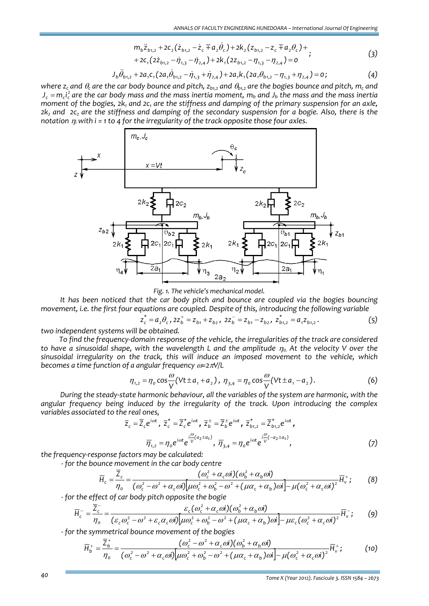$$
m_{b}\ddot{z}_{b1,2} + 2c_{2}(\dot{z}_{b1,2} - \dot{z}_{c} + a_{2}\dot{\theta}_{c}) + 2k_{2}(z_{b1,2} - z_{c} + a_{2}\theta_{c}) + \\ \vdots \tag{3}
$$

+2C<sub>1</sub>(2
$$
\dot{z}_{b1,2}
$$
 -  $\dot{\eta}_{1,3}$  -  $\dot{\eta}_{2,4}$ )+2K<sub>1</sub>(2Z<sub>b1,2</sub> -  $\eta_{1,3}$  -  $\eta_{2,4}$ ) = 0

$$
J_b \ddot{\theta}_{b1,2} + 2a_1 c_1 (2a_1 \dot{\theta}_{b1,2} - \dot{\eta}_{1,3} + \dot{\eta}_{2,4}) + 2a_1 k_1 (2a_1 \theta_{b1,2} - \eta_{1,3} + \eta_{2,4}) = 0;
$$
 (4)

where  $z_c$  and  $\theta_c$  are the car body bounce and pitch,  $z_{h12}$  and  $\theta_{h12}$  are the bogies bounce and pitch,  $m_c$  and  $J_c = m_c l_c^2$  are the car body mass and the mass inertia moment,  $m_b$  and  $J_b$  the mass and the mass inertia moment of the bogies,  $2k_1$  and  $2c_1$  are the stiffness and damping of the primary suspension for an axle,  $2k$ , and  $2c$ , are the stiffness and damping of the secondary suspension for a bogie. Also, there is the *notation*  $\eta_i$  with *i* = 1 to 4 for the *irregularity* of the track opposite those four axles.



*Fig. 1. The vehicle's mechanical model.*

*It has been noticed that the car body pitch and bounce are coupled via the bogies bouncing movement, i.e. the first four equations are coupled. Despite of this, introducing the following variable*

$$
z_{b1}^* = a_2 \theta_c, \quad z z_b^+ = z_{b1} + z_{b2}, \quad z z_b^- = z_{b1} - z_{b2}, \quad z_{b1,2}^* = a_1 z_{b1,2}.
$$
 (5)

*two independent systems will be obtained.*

*To find the frequency‐domain response of the vehicle, the irregularities of the track are considered* to have a sinusoidal shape, with the wavelength L and the amplitude  $\eta_0$ . At the velocity V over the *sinusoidal irregularity on the track, this will induce an imposed movement to the vehicle, which becomes a time function of a angular frequency* <sup>ω</sup>*=2*π*V/L* 

$$
\eta_{1,2} = \eta_0 \cos \frac{\omega}{V} (V t \pm a_1 + a_2), \ \eta_{3,4} = \eta_0 \cos \frac{\omega}{V} (V t \pm a_1 - a_2).
$$
 (6)

*During the steady‐state harmonic behaviour, all the variables of the system are harmonic, with the angular frequency being induced by the irregularity of the track. Upon introducing the complex variables associated to the real ones,* 

$$
\overline{z}_{c} = \overline{Z}_{c} e^{i\omega t}, \ \overline{z}_{c}^{*} = \overline{Z}_{c}^{*} e^{i\omega t}, \ \overline{z}_{b}^{\pm} = \overline{Z}_{b}^{\pm} e^{i\omega t}, \ \overline{z}_{b_{1,2}}^{*} = \overline{Z}_{b_{1,2}}^{*} e^{i\omega t},
$$
\n
$$
\overline{\eta}_{1,2} = \eta_{o} e^{i\omega t} e^{i\frac{\omega}{V}(a_{2} \pm a_{1})}, \ \overline{\eta}_{3,4} = \eta_{o} e^{i\omega t} e^{i\frac{\omega}{V}(-a_{2} \pm a_{1})}, \tag{7}
$$

*the frequency‐response factors may be calculated:*

 *‐ for the bounce movement in the car body centre*

$$
\overline{H}_c = \frac{\overline{Z}_c}{\eta_o} = \frac{(\omega_c^2 + \alpha_c \omega i)(\omega_b^2 + \alpha_b \omega i)}{(\omega_c^2 - \omega^2 + \alpha_c \omega i)[\mu \omega_c^2 + \omega_b^2 - \omega^2 + (\mu \alpha_c + \alpha_b) \omega i] - \mu (\omega_c^2 + \alpha_c \omega i)^2} \overline{H}_v^+;
$$
(8)

 *‐ for the effect of car body pitch opposite the bogie*

$$
\overline{H}_{c}^{-} = \frac{\overline{Z}_{c}^{-}}{\eta_{o}} = \frac{\varepsilon_{c}(\omega_{c}^{2} + \alpha_{c}\omega i)(\omega_{b}^{2} + \alpha_{b}\omega i)}{(\varepsilon_{c}\omega_{c}^{2} - \omega^{2} + \varepsilon_{c}\alpha_{c}\omega i)[\mu\omega_{c}^{2} + \omega_{b}^{2} - \omega^{2} + (\mu\alpha_{c} + \alpha_{b})\omega i] - \mu\varepsilon_{c}(\omega_{c}^{2} + \alpha_{c}\omega i)^{2}}\overline{H}_{v}^{-};
$$
(9)

 *‐ for the symmetrical bounce movement of the bogies* 

$$
\overline{H}_{b}^{+} = \frac{\overline{Z}_{b}^{+}}{\eta_{o}} = \frac{(\omega_{c}^{2} - \omega^{2} + \alpha_{c} \omega i)(\omega_{b}^{2} + \alpha_{b} \omega i)}{(\omega_{c}^{2} - \omega^{2} + \alpha_{c} \omega i)\left[\mu \omega_{c}^{2} + \omega_{b}^{2} - \omega^{2} + (\mu \alpha_{c} + \alpha_{b}) \omega i\right] - \mu (\omega_{c}^{2} + \alpha_{c} \omega i)^{2}} \overline{H}_{v}^{+};
$$
(10)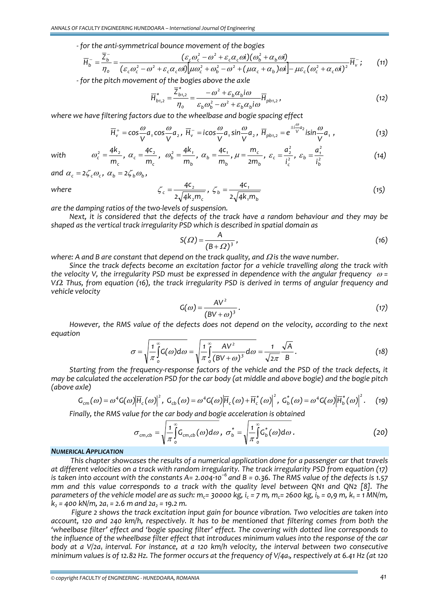*‐ for the anti‐symmetrical bounce movement of the bogies* 

$$
\overline{H}_{b}^{-} = \frac{\overline{Z}_{b}^{-}}{\eta_{o}} = \frac{(\varepsilon_{c}\omega_{c}^{2} - \omega^{2} + \varepsilon_{c}\alpha_{c}\omega i)(\omega_{b}^{2} + \alpha_{b}\omega i)}{(\varepsilon_{c}\omega_{c}^{2} - \omega^{2} + \varepsilon_{c}\alpha_{c}\omega i)[\mu\omega_{c}^{2} + \omega_{b}^{2} - \omega^{2} + (\mu\alpha_{c} + \alpha_{b})\omega i] - \mu\varepsilon_{c}(\omega_{c}^{2} + \alpha_{c}\omega i)^{2}}\overline{H}_{v}^{-};
$$
(11)

 *‐ for the pitch movement of the bogies above the axle* 

$$
\overline{H}_{b1,2}^* = \frac{\overline{Z}_{b1,2}^*}{\eta_o} = \frac{-\omega^2 + \varepsilon_b \alpha_b i \omega}{\varepsilon_b \omega_b^2 - \omega^2 + \varepsilon_b \alpha_b i \omega} \overline{H}_{p b1,2},
$$
\n(12)

*where we have filtering factors due to the wheelbase and bogie spacing effect*

$$
\overline{H}_{v}^{+} = \cos\frac{\omega}{V}a_{1}\cos\frac{\omega}{V}a_{2}, \ \overline{H}_{v}^{-} = i\cos\frac{\omega}{V}a_{1}\sin\frac{\omega}{V}a_{2}, \ \overline{H}_{pb1,2} = e^{\pm i\frac{\omega}{V}a_{2}}i\sin\frac{\omega}{V}a_{1}, \tag{13}
$$

*with* 

*where* 

$$
\omega_c^2 = \frac{4k_z}{m_c}, \ \alpha_c = \frac{4c_z}{m_c}, \ \omega_b^2 = \frac{4k_t}{m_b}, \ \alpha_b = \frac{4c_t}{m_b}, \ \mu = \frac{m_c}{2m_b}, \ \varepsilon_c = \frac{a_z^2}{i_c^2}, \ \varepsilon_b = \frac{a_t^2}{i_b^2}
$$
 (14)

*and*  $\alpha_c = 2\zeta_c \omega_c$ ,  $\alpha_b = 2\zeta_b \omega_b$ ,

$$
\zeta_c = \frac{4c_2}{2\sqrt{4k_2m_c}}, \ \zeta_b = \frac{4c_1}{2\sqrt{4k_1m_b}}
$$
\n(15)

*are the damping ratios of the two‐levels of suspension.*

*Next, it is considered that the defects of the track have a random behaviour and they may be shaped as the vertical track irregularity PSD which is described in spatial domain as*

$$
S(\varOmega) = \frac{A}{(B+\varOmega)^3},\tag{16}
$$

*where: A and B are constant that depend on the track quality, and* <sup>Ω</sup> *is the wave number.*

*Since the track defects become an excitation factor for a vehicle travelling along the track with the velocity V, the irregularity PSD must be expressed in dependence with the angular frequency* <sup>ω</sup> *=*  $V\Omega$ . Thus, from equation (16), the track irregularity PSD is derived in terms of angular frequency and *vehicle velocity*

$$
G(\omega) = \frac{AV^2}{(BV + \omega)^3}.
$$
\n(17)

*However, the RMS value of the defects does not depend on the velocity, according to the next equation*

$$
\sigma = \sqrt{\frac{1}{\pi} \int_{0}^{\infty} G(\omega) d\omega} = \sqrt{\frac{1}{\pi} \int_{0}^{\infty} \frac{AV^{2}}{(BV + \omega)^{3}} d\omega} = \frac{1}{\sqrt{2\pi}} \frac{\sqrt{A}}{B}.
$$
 (18)

*Starting from the frequency‐response factors of the vehicle and the PSD of the track defects, it* may be calculated the acceleration PSD for the car body (at middle and above bogie) and the bogie pitch *(above axle)*

$$
G_{cm}(\omega) = \omega^4 G(\omega) \overline{H}_c(\omega)^2, G_{cb}(\omega) = \omega^4 G(\omega) \overline{H}_c(\omega) + \overline{H}_c^*(\omega)^2, G_b^*(\omega) = \omega^4 G(\omega) \overline{H}_b^*(\omega)^2.
$$
 (19)

*Finally, the RMS value for the car body and bogie acceleration is obtained*

$$
\sigma_{cm,cb} = \sqrt{\frac{1}{\pi} \int_{o}^{\infty} G_{cm,cb}(\omega) d\omega}, \ \sigma_{b}^{*} = \sqrt{\frac{1}{\pi} \int_{o}^{\infty} G_{b}^{*}(\omega) d\omega}.
$$
 (20)

### *NUMERICAL APPLICATION*

*This chapter showcases the results of a numerical application done for a passenger car that travels at different velocities on a track with random irregularity. The track irregularity PSD from equation (17)* is taken into account with the constants A= 2.004.10<sup>-6</sup> and B = 0.36. The RMS value of the defects is 1.57 *mm and this value corresponds to a track with the quality level between QN1 and QN2 [8]. The* parameters of the vehicle model are as such:  $m_c$  = 30000 kg,  $i_c$  = 7 m,  $m_c$  = 2600 kg,  $i_b$  = 0,9 m,  $k_1$  = 1 MN/m,  $k_2$  = 400 kN/m, 2a<sub>1</sub> = 2.6 m and 2a<sub>2</sub> = 19.2 m.

*Figure 2 shows the track excitation input gain for bounce vibration. Two velocities are taken into account, 120 and 240 km/h, respectively. It has to be mentioned that filtering comes from both the 'wheelbase filter' effect and 'bogie spacing filter' effect. The covering with dotted line corresponds to the influence of the wheelbase filter effect that introduces minimum values into the response of the car body at a V/2a1 interval. For instance, at a 120 km/h velocity, the interval between two consecutive* minimum values is of 12.82 Hz. The former occurs at the frequency of  $V/4a<sub>1</sub>$ , respectively at 6.41 Hz (at 120

*© copyright FACULTY of ENGINEERING ‐ HUNEDOARA, ROMANIA 41*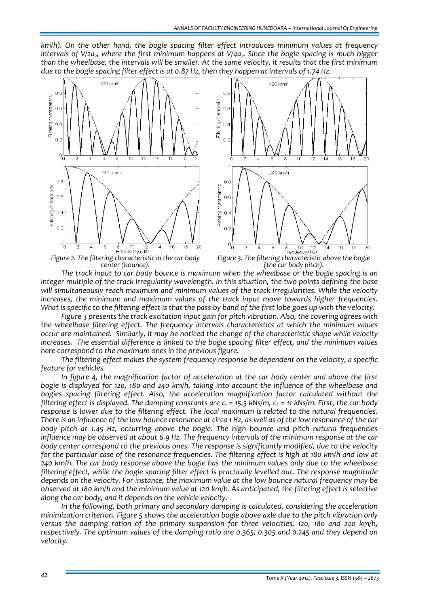*km/h). On the other hand, the bogie spacing filter effect introduces minimum values at frequency intervals* of *V*/2a<sub>2</sub>, where the first minimum happens at *V*/4a<sub>2</sub>. Since the bogie spacing is much bigger than the wheelbase, the intervals will be smaller. At the same velocity, it results that the first minimum due to the bogie spacing filter effect is at 0.87 Hz, then they happen at intervals of 1.74 Hz.



*The track input to car body bounce is maximum when the wheelbase or the bogie spacing is an integer multiple of the track irregularity wavelength. In this situation, the two points defining the base will simultaneously reach maximum and minimum values of the track irregularities. While the velocity increases, the minimum and maximum values of the track input move towards higher frequencies.*  What is specific to the filtering effect is that the pass-by band of the first lobe goes up with the velocity.

*Figure 3 presents the track excitation input gain for pitch vibration. Also, the covering agrees with the wheelbase filtering effect. The frequency intervals characteristics at which the minimum values occur are maintained. Similarly, it may be noticed the change of the characteristic shape while velocity increases. The essential difference is linked to the bogie spacing filter effect, and the minimum values here correspond to the maximum ones in the previous figure.*

*The filtering effect makes the system frequency‐response be dependent on the velocity, a specific feature for vehicles.* 

*In figure 4, the magnification factor of acceleration at the car body center and above the first* bogie is displayed for 120, 180 and 240 km/h, taking into account the influence of the wheelbase and *bogies spacing filtering effect. Also, the acceleration magnification factor calculated without the* filtering effect is displayed. The damping constants are  $c_1$  = 15.3 kNs/m,  $c_2$  = 11 kNs/m. First, the car body *response is lower due to the filtering effect. The local maximum is related to the natural frequencies.* There is an influence of the low bounce resonance at circa 1 Hz, as well as of the low resonance of the car *body pitch at 1.45 Hz, occurring above the bogie. The high bounce and pitch natural frequencies* influence may be observed at about 6.9 Hz. The frequency intervals of the minimum response at the car *body center correspond to the previous ones. The response is significantly modified, due to the velocity* for the particular case of the resonance frequencies. The filtering effect is high at 180 km/h and low at *240 km/h. The car body response above the bogie has the minimum values only due to the wheelbase filtering effect, while the bogie spacing filter effect is practically levelled out. The response magnitude depends on the velocity. For instance, the maximum value at the low bounce natural frequency may be* observed at 180 km/h and the minimum value at 120 km/h. As anticipated, the filtering effect is selective *along the car body, and it depends on the vehicle velocity.*

*In the following, both primary and secondary damping is calculated, considering the acceleration minimization criterion. Figure 5 shows the acceleration bogie above axle due to the pitch vibration only versus the damping ration of the primary suspension for three velocities, 120, 180 and 240 km/h, respectively. The optimum values of the damping ratio are 0.365, 0.305 and 0.245 and they depend on velocity.*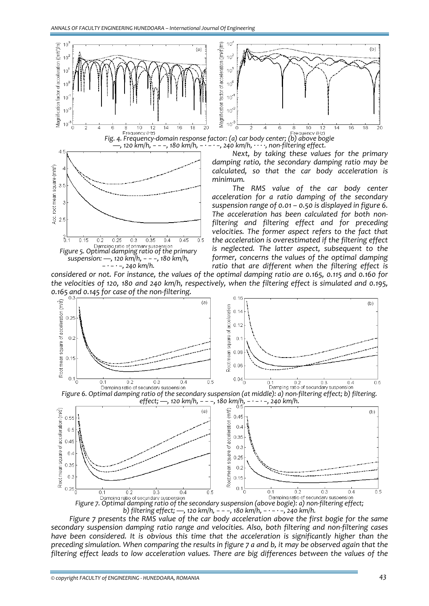*Figure 5. Optimal damping ratio of the primary*

 $0.3$ 

 $0.35$ 

 $0.4$ 

 $0.25$ 

 $\overline{3}$ 

 $6.1$ 

 $0.15$ 

 $0.2$ 

 $\frac{6}{9}$  2.5



*The RMS value of the car body center acceleration for a ratio damping of the secondary suspension range of 0.01 – 0.50 is displayed in figure 6. The acceleration has been calculated for both non‐ filtering and filtering effect and for preceding velocities. The former aspect refers to the fact that the acceleration is overestimated if the filtering effect is neglected. The latter aspect, subsequent to the former, concerns the values of the optimal damping ratio that are different when the filtering effect is*

considered or not. For instance, the values of the optimal damping ratio are 0.165, 0.115 and 0.160 for *the velocities of 120, 180 and 240 km/h, respectively, when the filtering effect is simulated and 0.195, 0.165 and 0.145 for case of the non‐filtering. suspension: —, <sup>120</sup> km/h, − − −, <sup>180</sup> km/h, − ∙ − ∙ −, <sup>240</sup> km/h.*

 $0.45$ 

 $\overline{0.5}$ 



*Figure 7.* Optimal *damping ratio* of *secundary suspension*<br>*Figure 7.* Optimal damping ratio of the secondary suspension (above bogie): a) non-filtering effect; *b) filtering effect; —, 120 km/h, − − −, 180 km/h, − ∙ − ∙ −, 240 km/h.*

*Figure 7 presents the RMS value of the car body acceleration above the first bogie for the same secondary suspension damping ratio range and velocities. Also, both filtering and non‐filtering cases have been considered. It is obvious this time that the acceleration is significantly higher than the* preceding simulation. When comparing the results in figure 7 a and b, it may be observed again that the *filtering effect leads to low acceleration values. There are big differences between the values of the*